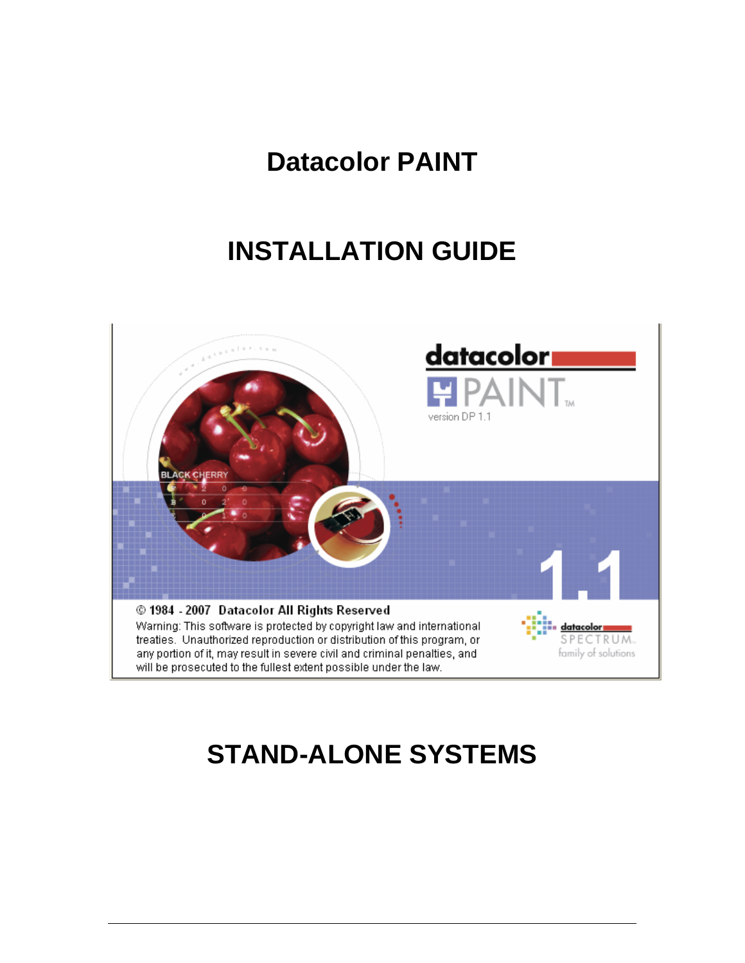## **Datacolor PAINT**

## **INSTALLATION GUIDE**



# **STAND-ALONE SYSTEMS**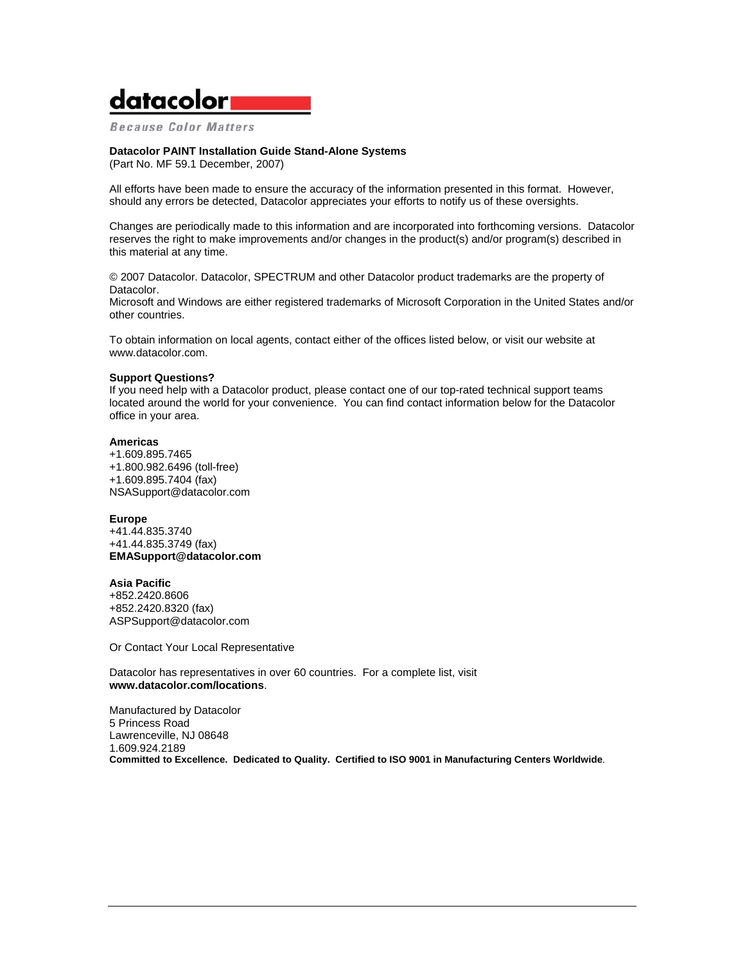## datacolor

**Because Color Matters** 

#### **Datacolor PAINT Installation Guide Stand-Alone Systems**

(Part No. MF 59.1 December, 2007)

All efforts have been made to ensure the accuracy of the information presented in this format. However, should any errors be detected, Datacolor appreciates your efforts to notify us of these oversights.

Changes are periodically made to this information and are incorporated into forthcoming versions. Datacolor reserves the right to make improvements and/or changes in the product(s) and/or program(s) described in this material at any time.

© 2007 Datacolor. Datacolor, SPECTRUM and other Datacolor product trademarks are the property of Datacolor.

Microsoft and Windows are either registered trademarks of Microsoft Corporation in the United States and/or other countries.

To obtain information on local agents, contact either of the offices listed below, or visit our website at www.datacolor.com.

#### **Support Questions?**

If you need help with a Datacolor product, please contact one of our top-rated technical support teams located around the world for your convenience. You can find contact information below for the Datacolor office in your area.

#### **Americas**

+1.609.895.7465 +1.800.982.6496 (toll-free) +1.609.895.7404 (fax) NSASupport@datacolor.com

#### **Europe**

+41.44.835.3740 +41.44.835.3749 (fax) **EMASupport@datacolor.com**

#### **Asia Pacific**

+852.2420.8606 +852.2420.8320 (fax) ASPSupport@datacolor.com

Or Contact Your Local Representative

Datacolor has representatives in over 60 countries. For a complete list, visit **www.datacolor.com/locations**.

Manufactured by Datacolor 5 Princess Road Lawrenceville, NJ 08648 1.609.924.2189 **Committed to Excellence. Dedicated to Quality. Certified to ISO 9001 in Manufacturing Centers Worldwide**.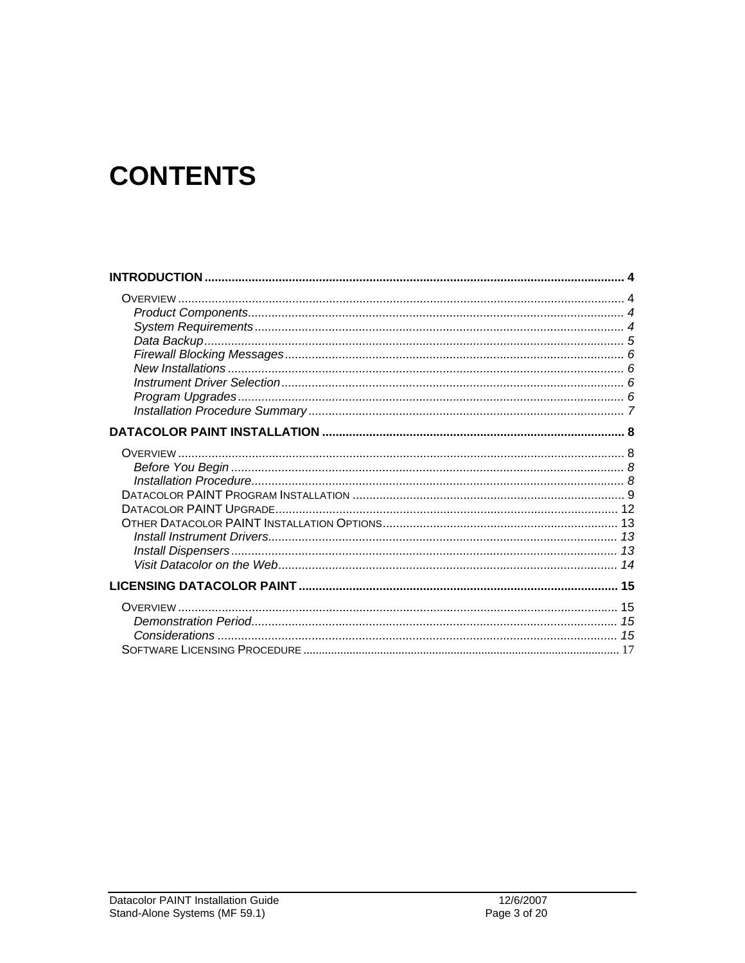# **CONTENTS**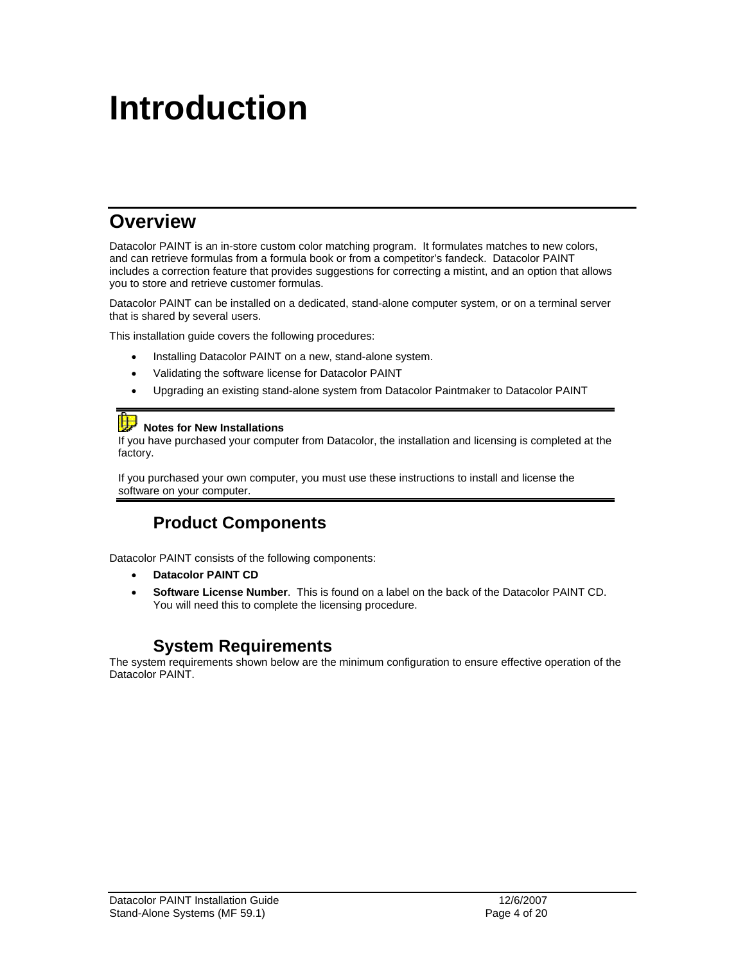# **Introduction**

## **Overview**

Datacolor PAINT is an in-store custom color matching program. It formulates matches to new colors, and can retrieve formulas from a formula book or from a competitor's fandeck. Datacolor PAINT includes a correction feature that provides suggestions for correcting a mistint, and an option that allows you to store and retrieve customer formulas.

Datacolor PAINT can be installed on a dedicated, stand-alone computer system, or on a terminal server that is shared by several users.

This installation guide covers the following procedures:

- Installing Datacolor PAINT on a new, stand-alone system.
- Validating the software license for Datacolor PAINT
- Upgrading an existing stand-alone system from Datacolor Paintmaker to Datacolor PAINT

## **Notes for New Installations**

If you have purchased your computer from Datacolor, the installation and licensing is completed at the factory.

If you purchased your own computer, you must use these instructions to install and license the software on your computer.

#### **Product Components**

Datacolor PAINT consists of the following components:

- **Datacolor PAINT CD**
- **Software License Number**. This is found on a label on the back of the Datacolor PAINT CD. You will need this to complete the licensing procedure.

#### **System Requirements**

The system requirements shown below are the minimum configuration to ensure effective operation of the Datacolor PAINT.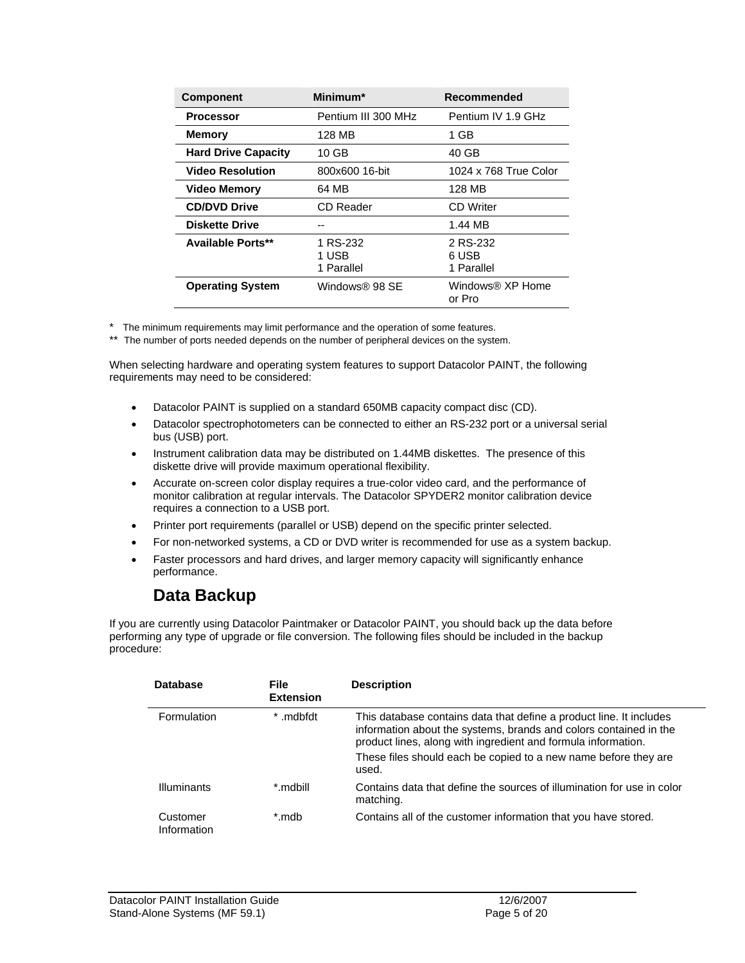| <b>Component</b>           | Minimum*                        | Recommended                     |
|----------------------------|---------------------------------|---------------------------------|
| <b>Processor</b>           | Pentium III 300 MHz             | Pentium IV 1.9 GHz              |
| <b>Memory</b>              | 128 MB                          | 1 GB                            |
| <b>Hard Drive Capacity</b> | $10$ GB                         | 40 GB                           |
| <b>Video Resolution</b>    | 800x600 16-bit                  | 1024 x 768 True Color           |
| <b>Video Memory</b>        | 64 MB                           | 128 MB                          |
| <b>CD/DVD Drive</b>        | CD Reader                       | CD Writer                       |
| <b>Diskette Drive</b>      |                                 | 1.44 MB                         |
| <b>Available Ports**</b>   | 1 RS-232<br>1 USB<br>1 Parallel | 2 RS-232<br>6 USB<br>1 Parallel |
| <b>Operating System</b>    | Windows® 98 SE                  | Windows® XP Home<br>or Pro      |

\* The minimum requirements may limit performance and the operation of some features.

\*\* The number of ports needed depends on the number of peripheral devices on the system.

When selecting hardware and operating system features to support Datacolor PAINT, the following requirements may need to be considered:

- Datacolor PAINT is supplied on a standard 650MB capacity compact disc (CD).
- Datacolor spectrophotometers can be connected to either an RS-232 port or a universal serial bus (USB) port.
- Instrument calibration data may be distributed on 1.44MB diskettes. The presence of this diskette drive will provide maximum operational flexibility.
- Accurate on-screen color display requires a true-color video card, and the performance of monitor calibration at regular intervals. The Datacolor SPYDER2 monitor calibration device requires a connection to a USB port.
- Printer port requirements (parallel or USB) depend on the specific printer selected.
- For non-networked systems, a CD or DVD writer is recommended for use as a system backup.
- Faster processors and hard drives, and larger memory capacity will significantly enhance performance.

#### **Data Backup**

If you are currently using Datacolor Paintmaker or Datacolor PAINT, you should back up the data before performing any type of upgrade or file conversion. The following files should be included in the backup procedure:

| <b>Database</b>         | <b>File</b><br><b>Extension</b> | <b>Description</b>                                                                                                                                                                                                                                                                    |
|-------------------------|---------------------------------|---------------------------------------------------------------------------------------------------------------------------------------------------------------------------------------------------------------------------------------------------------------------------------------|
| Formulation             | .mdbfdt<br>*                    | This database contains data that define a product line. It includes<br>information about the systems, brands and colors contained in the<br>product lines, along with ingredient and formula information.<br>These files should each be copied to a new name before they are<br>used. |
| <b>Illuminants</b>      | *.mdbill                        | Contains data that define the sources of illumination for use in color<br>matching.                                                                                                                                                                                                   |
| Customer<br>Information | *.mdb                           | Contains all of the customer information that you have stored.                                                                                                                                                                                                                        |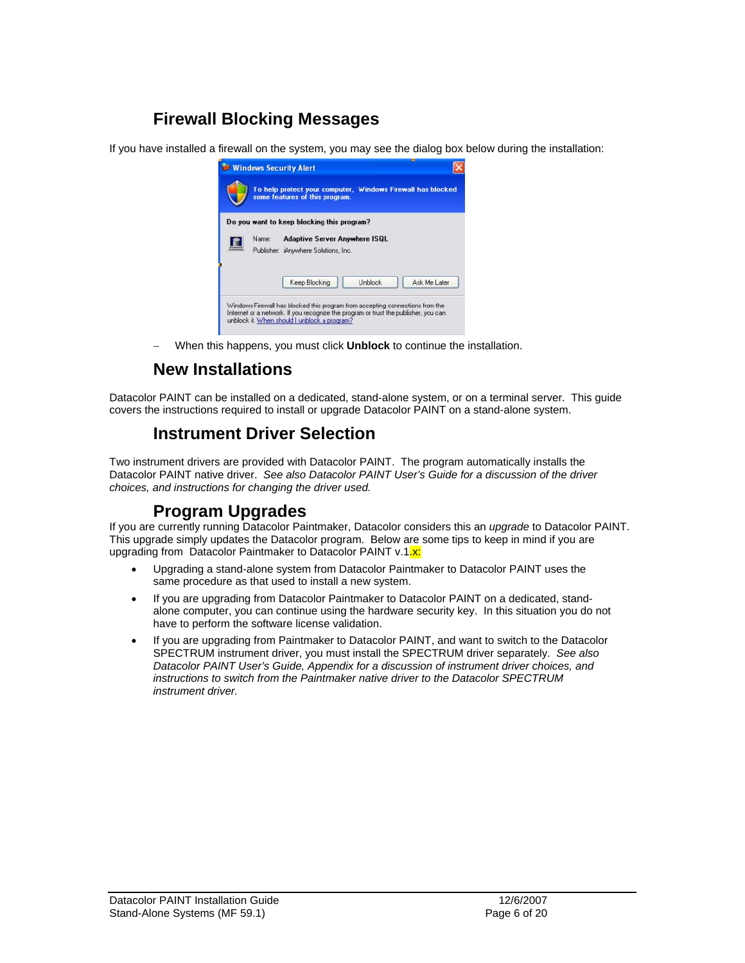## **Firewall Blocking Messages**

If you have installed a firewall on the system, you may see the dialog box below during the installation:



− When this happens, you must click **Unblock** to continue the installation.

### **New Installations**

Datacolor PAINT can be installed on a dedicated, stand-alone system, or on a terminal server. This guide covers the instructions required to install or upgrade Datacolor PAINT on a stand-alone system.

#### **Instrument Driver Selection**

Two instrument drivers are provided with Datacolor PAINT. The program automatically installs the Datacolor PAINT native driver. *See also Datacolor PAINT User's Guide for a discussion of the driver choices, and instructions for changing the driver used.* 

#### **Program Upgrades**

If you are currently running Datacolor Paintmaker, Datacolor considers this an *upgrade* to Datacolor PAINT. This upgrade simply updates the Datacolor program. Below are some tips to keep in mind if you are upgrading from Datacolor Paintmaker to Datacolor PAINT v.1.x:

- Upgrading a stand-alone system from Datacolor Paintmaker to Datacolor PAINT uses the same procedure as that used to install a new system.
- If you are upgrading from Datacolor Paintmaker to Datacolor PAINT on a dedicated, standalone computer, you can continue using the hardware security key. In this situation you do not have to perform the software license validation.
- If you are upgrading from Paintmaker to Datacolor PAINT, and want to switch to the Datacolor SPECTRUM instrument driver, you must install the SPECTRUM driver separately. *See also Datacolor PAINT User's Guide, Appendix for a discussion of instrument driver choices, and instructions to switch from the Paintmaker native driver to the Datacolor SPECTRUM instrument driver.*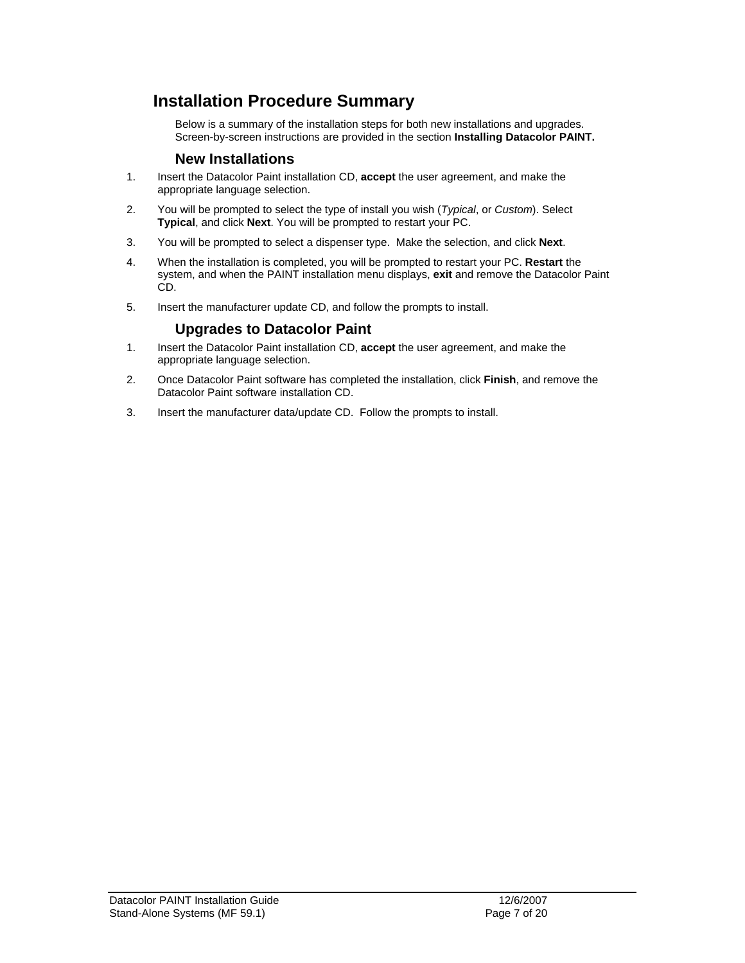#### **Installation Procedure Summary**

Below is a summary of the installation steps for both new installations and upgrades. Screen-by-screen instructions are provided in the section **Installing Datacolor PAINT.**

#### **New Installations**

- 1. Insert the Datacolor Paint installation CD, **accept** the user agreement, and make the appropriate language selection.
- 2. You will be prompted to select the type of install you wish (*Typical*, or *Custom*). Select **Typical**, and click **Next**. You will be prompted to restart your PC.
- 3. You will be prompted to select a dispenser type. Make the selection, and click **Next**.
- 4. When the installation is completed, you will be prompted to restart your PC. **Restart** the system, and when the PAINT installation menu displays, **exit** and remove the Datacolor Paint CD.
- 5. Insert the manufacturer update CD, and follow the prompts to install.

#### **Upgrades to Datacolor Paint**

- 1. Insert the Datacolor Paint installation CD, **accept** the user agreement, and make the appropriate language selection.
- 2. Once Datacolor Paint software has completed the installation, click **Finish**, and remove the Datacolor Paint software installation CD.
- 3. Insert the manufacturer data/update CD. Follow the prompts to install.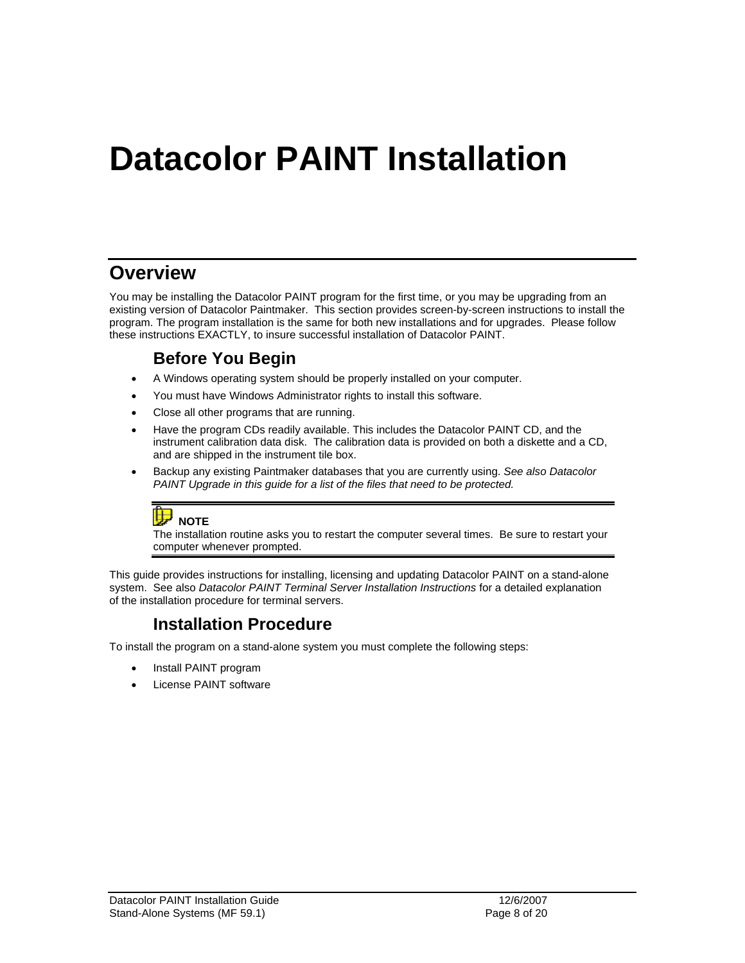# **Datacolor PAINT Installation**

## **Overview**

You may be installing the Datacolor PAINT program for the first time, or you may be upgrading from an existing version of Datacolor Paintmaker. This section provides screen-by-screen instructions to install the program. The program installation is the same for both new installations and for upgrades. Please follow these instructions EXACTLY, to insure successful installation of Datacolor PAINT.

#### **Before You Begin**

- A Windows operating system should be properly installed on your computer.
- You must have Windows Administrator rights to install this software.
- Close all other programs that are running.
- Have the program CDs readily available. This includes the Datacolor PAINT CD, and the instrument calibration data disk. The calibration data is provided on both a diskette and a CD, and are shipped in the instrument tile box.
- Backup any existing Paintmaker databases that you are currently using. *See also Datacolor PAINT Upgrade in this guide for a list of the files that need to be protected.*



The installation routine asks you to restart the computer several times. Be sure to restart your computer whenever prompted.

This guide provides instructions for installing, licensing and updating Datacolor PAINT on a stand-alone system. See also *Datacolor PAINT Terminal Server Installation Instructions* for a detailed explanation of the installation procedure for terminal servers.

#### **Installation Procedure**

To install the program on a stand-alone system you must complete the following steps:

- Install PAINT program
- License PAINT software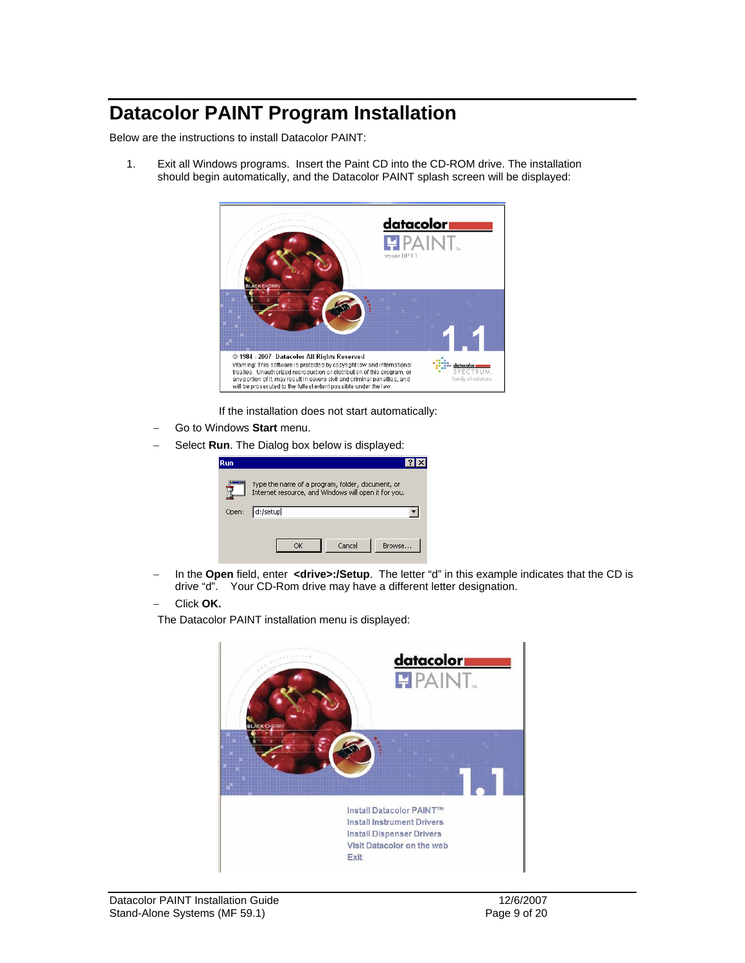## **Datacolor PAINT Program Installation**

Below are the instructions to install Datacolor PAINT:

1. Exit all Windows programs. Insert the Paint CD into the CD-ROM drive. The installation should begin automatically, and the Datacolor PAINT splash screen will be displayed:



If the installation does not start automatically:

- − Go to Windows **Start** menu.
- Select **Run**. The Dialog box below is displayed:

| Run.  |                                                                                                          |
|-------|----------------------------------------------------------------------------------------------------------|
|       | Type the name of a program, folder, document, or<br>Internet resource, and Windows will open it for you. |
| Open: | d:/setup                                                                                                 |
|       | Browse<br>Cancel<br>ΟK                                                                                   |

− In the **Open** field, enter **<drive>:/Setup**. The letter "d" in this example indicates that the CD is drive "d". Your CD-Rom drive may have a different letter designation.

#### − Click **OK.**

The Datacolor PAINT installation menu is displayed:

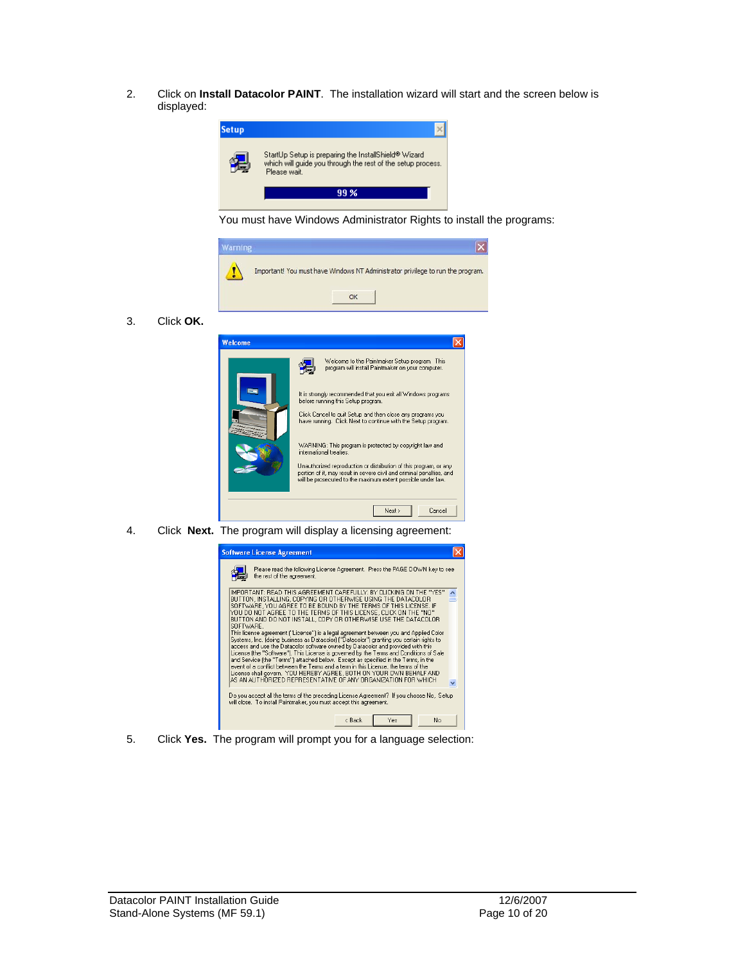2. Click on **Install Datacolor PAINT**. The installation wizard will start and the screen below is displayed:



You must have Windows Administrator Rights to install the programs:



3. Click **OK.**



4. Click **Next.** The program will display a licensing agreement:



5. Click **Yes.** The program will prompt you for a language selection: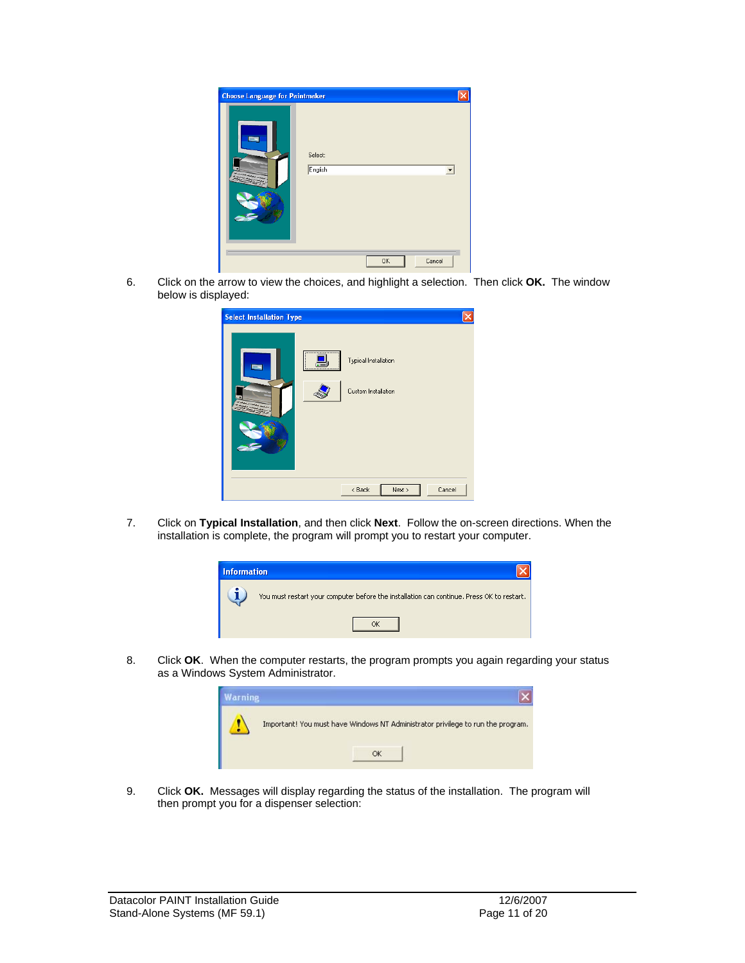

6. Click on the arrow to view the choices, and highlight a selection. Then click **OK.** The window below is displayed:

| <b>Select Installation Type</b> |                                             |
|---------------------------------|---------------------------------------------|
| <br>                            | Typical Installation<br>Custom Installation |
|                                 | Next ><br>Cancel<br>$8$ Back                |

7. Click on **Typical Installation**, and then click **Next**. Follow the on-screen directions. When the installation is complete, the program will prompt you to restart your computer.



8. Click **OK**. When the computer restarts, the program prompts you again regarding your status as a Windows System Administrator.



9. Click **OK.** Messages will display regarding the status of the installation. The program will then prompt you for a dispenser selection: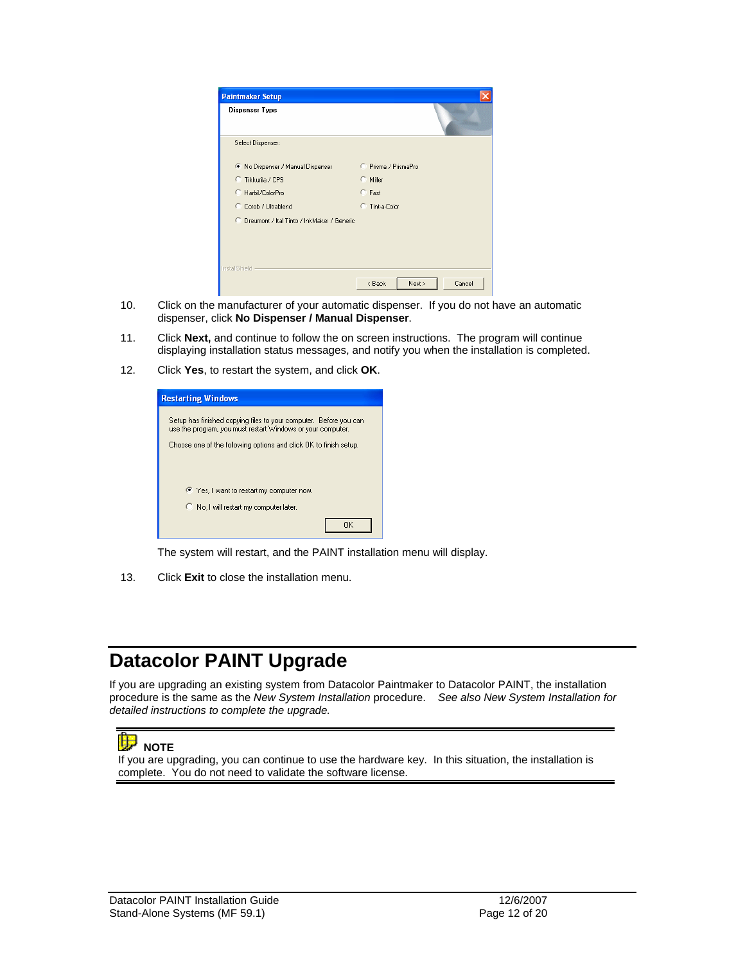| <b>Paintmaker Setup</b>                          |                            |
|--------------------------------------------------|----------------------------|
| Dispenser Type                                   |                            |
| Select Dispenser:                                |                            |
| ø<br>No Dispenser / Manual Dispenser             | C Prisma / PrismaPro       |
| C Tikkurila / CPS                                | $\subset$ Miller           |
| C.<br>Harbil/ColorPro                            | C Fast                     |
| C<br>Corob / Ultrablend                          | Tint-a-Color               |
| C.<br>Dreumont / Ital Tinto / InkMaker / Generic |                            |
|                                                  |                            |
| <b>InstallShield</b>                             |                            |
|                                                  | Cancel<br>< Back<br>Next > |

- 10. Click on the manufacturer of your automatic dispenser. If you do not have an automatic dispenser, click **No Dispenser / Manual Dispenser**.
- 11. Click **Next,** and continue to follow the on screen instructions. The program will continue displaying installation status messages, and notify you when the installation is completed.
- 12. Click **Yes**, to restart the system, and click **OK**.

| <b>Restarting Windows</b>                                                                                                        |
|----------------------------------------------------------------------------------------------------------------------------------|
| Setup has finished copying files to your computer. Before you can<br>use the program, you must restart Windows or your computer. |
| Choose one of the following options and click OK to finish setup.                                                                |
|                                                                                                                                  |
|                                                                                                                                  |
| ● Yes, I want to restart my computer now.                                                                                        |
| C No, I will restart my computer later.                                                                                          |
| ΩK                                                                                                                               |

The system will restart, and the PAINT installation menu will display.

13. Click **Exit** to close the installation menu.

## **Datacolor PAINT Upgrade**

If you are upgrading an existing system from Datacolor Paintmaker to Datacolor PAINT, the installation procedure is the same as the *New System Installation* procedure. *See also New System Installation for detailed instructions to complete the upgrade.* 



 **NOTE**

If you are upgrading, you can continue to use the hardware key. In this situation, the installation is complete. You do not need to validate the software license.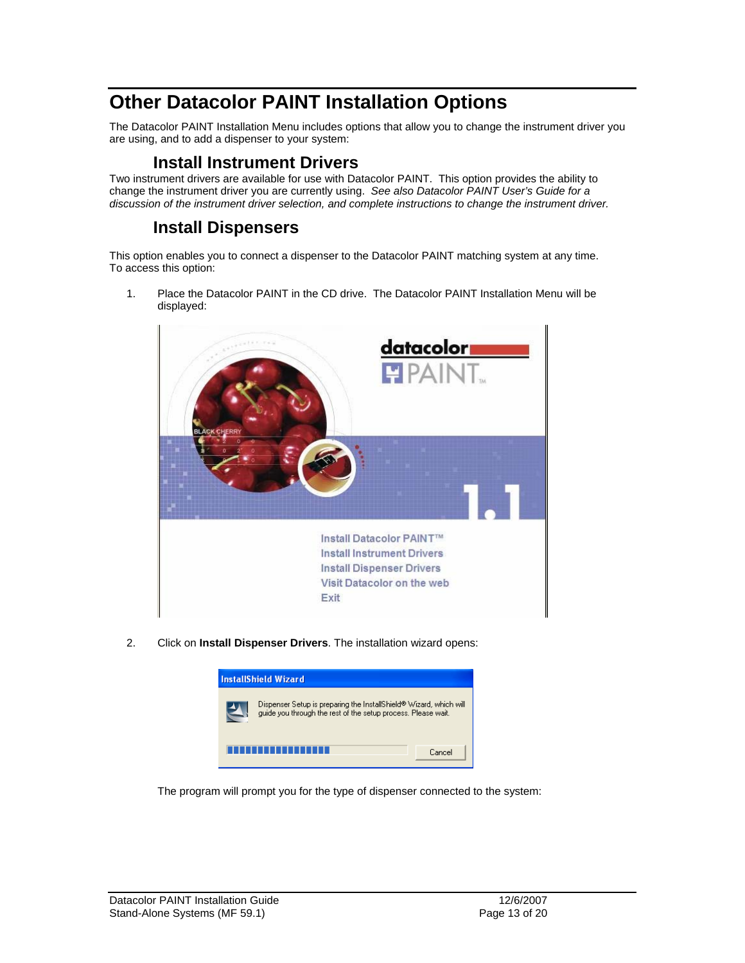## **Other Datacolor PAINT Installation Options**

The Datacolor PAINT Installation Menu includes options that allow you to change the instrument driver you are using, and to add a dispenser to your system:

#### **Install Instrument Drivers**

Two instrument drivers are available for use with Datacolor PAINT. This option provides the ability to change the instrument driver you are currently using. *See also Datacolor PAINT User's Guide for a discussion of the instrument driver selection, and complete instructions to change the instrument driver.* 

#### **Install Dispensers**

This option enables you to connect a dispenser to the Datacolor PAINT matching system at any time. To access this option:

1. Place the Datacolor PAINT in the CD drive. The Datacolor PAINT Installation Menu will be displayed:



2. Click on **Install Dispenser Drivers**. The installation wizard opens:



The program will prompt you for the type of dispenser connected to the system: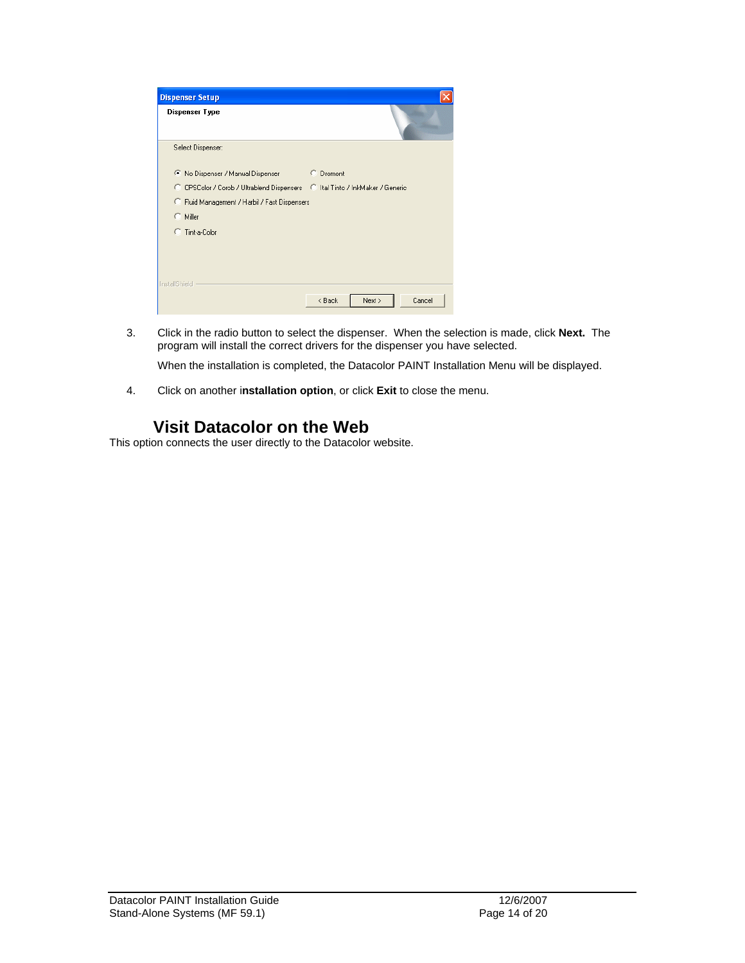| <b>Dispenser Setup</b>                                                       |                            |
|------------------------------------------------------------------------------|----------------------------|
| Dispenser Type                                                               |                            |
| Select Dispenser:                                                            |                            |
| ● No Dispenser / Manual Dispenser                                            | C Dromont                  |
| C CPSColor / Corob / Ultrablend Dispensers C Ital Tinto / InkMaker / Generic |                            |
| C Fluid Management / Harbil / Fast Dispensers                                |                            |
| $\subset$ Miller                                                             |                            |
| Tint-a-Color                                                                 |                            |
| InstallShield                                                                |                            |
|                                                                              | Next ><br>Cancel<br>< Back |

3. Click in the radio button to select the dispenser. When the selection is made, click **Next.** The program will install the correct drivers for the dispenser you have selected.

When the installation is completed, the Datacolor PAINT Installation Menu will be displayed.

4. Click on another i**nstallation option**, or click **Exit** to close the menu.

#### **Visit Datacolor on the Web**

This option connects the user directly to the Datacolor website.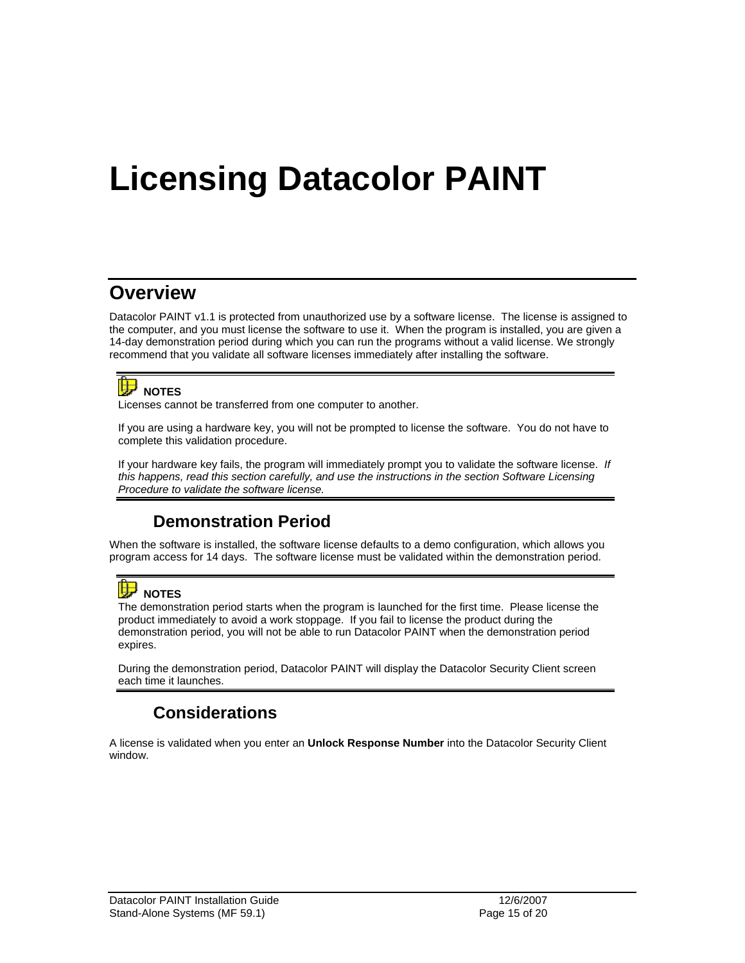# **Licensing Datacolor PAINT**

## **Overview**

Datacolor PAINT v1.1 is protected from unauthorized use by a software license. The license is assigned to the computer, and you must license the software to use it. When the program is installed, you are given a 14-day demonstration period during which you can run the programs without a valid license. We strongly recommend that you validate all software licenses immediately after installing the software.



Licenses cannot be transferred from one computer to another.

If you are using a hardware key, you will not be prompted to license the software. You do not have to complete this validation procedure.

If your hardware key fails, the program will immediately prompt you to validate the software license. *If this happens, read this section carefully, and use the instructions in the section Software Licensing Procedure to validate the software license.* 

### **Demonstration Period**

When the software is installed, the software license defaults to a demo configuration, which allows you program access for 14 days. The software license must be validated within the demonstration period.



The demonstration period starts when the program is launched for the first time. Please license the product immediately to avoid a work stoppage. If you fail to license the product during the demonstration period, you will not be able to run Datacolor PAINT when the demonstration period expires.

During the demonstration period, Datacolor PAINT will display the Datacolor Security Client screen each time it launches.

### **Considerations**

A license is validated when you enter an **Unlock Response Number** into the Datacolor Security Client window.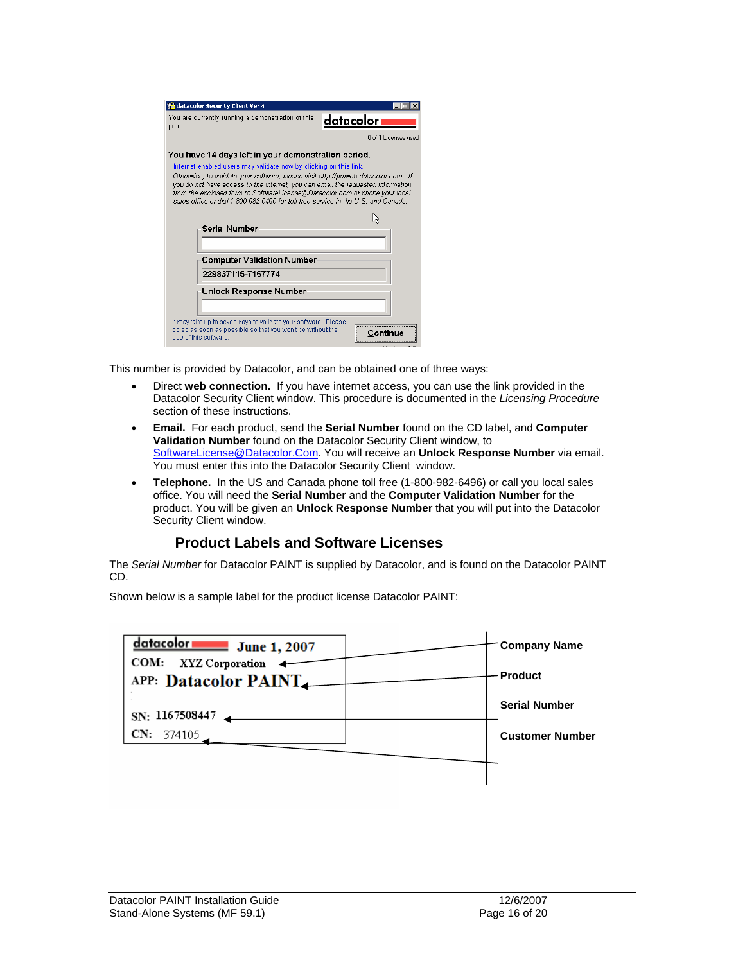| <b>V</b> datacolor Security Client Ver 4<br>You are currently running a demonstration of this<br>product.                                                                                                                                                                                                                                                                                                                                                            | datacolori            |  |  |
|----------------------------------------------------------------------------------------------------------------------------------------------------------------------------------------------------------------------------------------------------------------------------------------------------------------------------------------------------------------------------------------------------------------------------------------------------------------------|-----------------------|--|--|
|                                                                                                                                                                                                                                                                                                                                                                                                                                                                      | ft of 1 Licenses used |  |  |
| You have 14 days left in your demonstration period.<br>Internet enabled users may validate now by clicking on this link.<br>Otherwise, to validate your software, please visit http://pmweb.datacolor.com. If<br>you do not have access to the internet, you can email the requested information<br>from the enclosed form to SoftwareLicense@Datacolor.com or phone your local<br>sales office or dial 1-800-982-6496 for toll free service in the U.S. and Canada. |                       |  |  |
| Serial Number                                                                                                                                                                                                                                                                                                                                                                                                                                                        |                       |  |  |
| <b>Computer Validation Number</b>                                                                                                                                                                                                                                                                                                                                                                                                                                    |                       |  |  |
| 229837115-7167774                                                                                                                                                                                                                                                                                                                                                                                                                                                    |                       |  |  |
| Unlock Response Number                                                                                                                                                                                                                                                                                                                                                                                                                                               |                       |  |  |
| It may take up to seven days to validate your software. Please<br>do so as soon as possible so that you won't be without the<br>use of this software.                                                                                                                                                                                                                                                                                                                |                       |  |  |

This number is provided by Datacolor, and can be obtained one of three ways:

- Direct **web connection.** If you have internet access, you can use the link provided in the Datacolor Security Client window. This procedure is documented in the *Licensing Procedure*  section of these instructions.
- **Email.** For each product, send the **Serial Number** found on the CD label, and **Computer Validation Number** found on the Datacolor Security Client window, to SoftwareLicense@Datacolor.Com. You will receive an **Unlock Response Number** via email. You must enter this into the Datacolor Security Client window.
- **Telephone.** In the US and Canada phone toll free (1-800-982-6496) or call you local sales office. You will need the **Serial Number** and the **Computer Validation Number** for the product. You will be given an **Unlock Response Number** that you will put into the Datacolor Security Client window.

#### **Product Labels and Software Licenses**

The *Serial Number* for Datacolor PAINT is supplied by Datacolor, and is found on the Datacolor PAINT CD.

Shown below is a sample label for the product license Datacolor PAINT:

| atacolor r<br><b>June 1, 2007</b><br>COM: XYZ Corporation |  | <b>Company Name</b>    |
|-----------------------------------------------------------|--|------------------------|
| APP: Datacolor PAINT                                      |  | <b>Product</b>         |
| SN: 1167508447                                            |  | <b>Serial Number</b>   |
| CN: 374105                                                |  | <b>Customer Number</b> |
|                                                           |  |                        |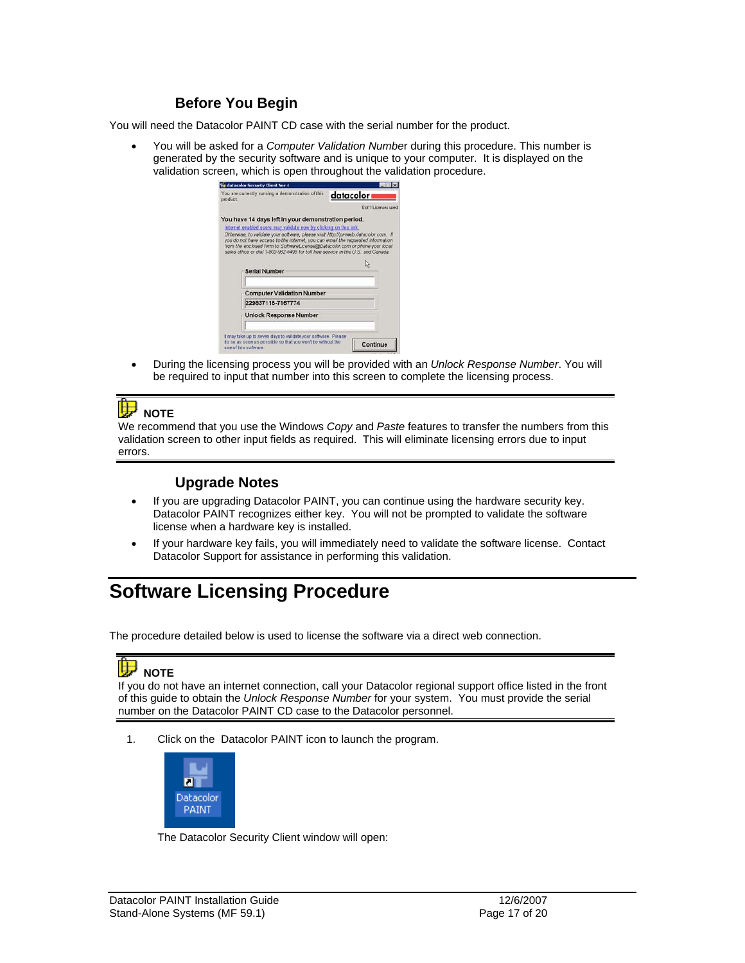#### **Before You Begin**

You will need the Datacolor PAINT CD case with the serial number for the product.

• You will be asked for a *Computer Validation Numbe*r during this procedure. This number is generated by the security software and is unique to your computer. It is displayed on the validation screen, which is open throughout the validation procedure.

| You are currently running a demonstration of this<br>product |                                                                                                                                                                                                                                                                                                                                                                                                                | datacolor            |
|--------------------------------------------------------------|----------------------------------------------------------------------------------------------------------------------------------------------------------------------------------------------------------------------------------------------------------------------------------------------------------------------------------------------------------------------------------------------------------------|----------------------|
|                                                              |                                                                                                                                                                                                                                                                                                                                                                                                                | 0 of 1 Licensee used |
|                                                              | You have 14 days left in your demonstration period.                                                                                                                                                                                                                                                                                                                                                            |                      |
|                                                              | Internet enabled users may validate now by clicking on this link,<br>Otherwise, to validate your software, please visit http://prnweb.datacolor.com. If<br>you do not have access to the internet, you can email the requested information<br>from the enclosed form to SoftwareLicense@Datacolor.com or phone your local<br>sales office or dial 1-800-982-6496 for toll free service in the U.S. and Canada. |                      |
|                                                              | Serial Number                                                                                                                                                                                                                                                                                                                                                                                                  | IJ                   |
|                                                              | <b>Computer Validation Number</b>                                                                                                                                                                                                                                                                                                                                                                              |                      |
|                                                              | 229837115-7167774                                                                                                                                                                                                                                                                                                                                                                                              |                      |
|                                                              | <b>Unlock Response Number</b>                                                                                                                                                                                                                                                                                                                                                                                  |                      |
| use of this software.                                        | It may take up to seven days to validate your software. Please<br>do so as soon as possible so that you won't be without the                                                                                                                                                                                                                                                                                   | Continue             |

• During the licensing process you will be provided with an *Unlock Response Number*. You will be required to input that number into this screen to complete the licensing process.

#### Œ  **NOTE**

We recommend that you use the Windows *Copy* and *Paste* features to transfer the numbers from this validation screen to other input fields as required. This will eliminate licensing errors due to input errors.

#### **Upgrade Notes**

- If you are upgrading Datacolor PAINT, you can continue using the hardware security key. Datacolor PAINT recognizes either key. You will not be prompted to validate the software license when a hardware key is installed.
- If your hardware key fails, you will immediately need to validate the software license. Contact Datacolor Support for assistance in performing this validation.

## **Software Licensing Procedure**

The procedure detailed below is used to license the software via a direct web connection.

#### t۶  **NOTE**

If you do not have an internet connection, call your Datacolor regional support office listed in the front of this guide to obtain the *Unlock Response Number* for your system. You must provide the serial number on the Datacolor PAINT CD case to the Datacolor personnel.

1. Click on the Datacolor PAINT icon to launch the program.



The Datacolor Security Client window will open: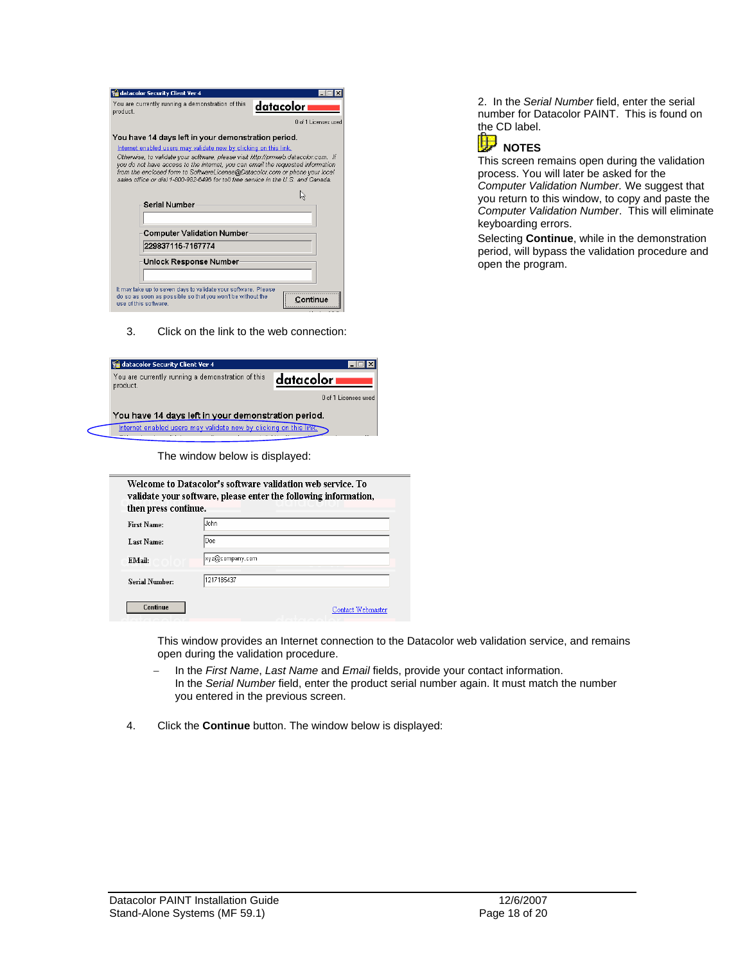| datacolor Security Client Ver 4                                                                                                                                                                                                                                                                                                          |                      |  |
|------------------------------------------------------------------------------------------------------------------------------------------------------------------------------------------------------------------------------------------------------------------------------------------------------------------------------------------|----------------------|--|
| You are currently running a demonstration of this<br>product.                                                                                                                                                                                                                                                                            | datacolor i          |  |
|                                                                                                                                                                                                                                                                                                                                          | 0 of 1 Licenses used |  |
| You have 14 days left in your demonstration period.                                                                                                                                                                                                                                                                                      |                      |  |
| Internet enabled users may validate now by clicking on this link.                                                                                                                                                                                                                                                                        |                      |  |
| Otherwise, to validate your software, please visit http://pmweb.datacolor.com. If<br>you do not have access to the internet, you can email the requested information<br>from the enclosed form to SoftwareLicense@Datacolor.com or phone your local<br>sales office or dial 1-800-982-6496 for toll free service in the U.S. and Canada. |                      |  |
|                                                                                                                                                                                                                                                                                                                                          |                      |  |
| Serial Number                                                                                                                                                                                                                                                                                                                            |                      |  |
|                                                                                                                                                                                                                                                                                                                                          |                      |  |
| <b>Computer Validation Number</b>                                                                                                                                                                                                                                                                                                        |                      |  |
| 229837115-7167774                                                                                                                                                                                                                                                                                                                        |                      |  |
| Unlock Response Number                                                                                                                                                                                                                                                                                                                   |                      |  |
|                                                                                                                                                                                                                                                                                                                                          |                      |  |
| It may take up to seven days to validate your software. Please                                                                                                                                                                                                                                                                           |                      |  |
| do so as soon as possible so that you won't be without the<br>use of this software.                                                                                                                                                                                                                                                      |                      |  |

3. Click on the link to the web connection:

| datacolor Security Client Ver 4                                   |                      |  |
|-------------------------------------------------------------------|----------------------|--|
| You are currently running a demonstration of this<br>product.     | datacolori           |  |
|                                                                   | 0 of 1 Licenses used |  |
| You have 14 days left in your demonstration period.               |                      |  |
| Internet enabled users may validate now by clicking on this link. |                      |  |

The window below is displayed:

| then press continue. | Welcome to Datacolor's software validation web service. To<br>validate your software, please enter the following information, |
|----------------------|-------------------------------------------------------------------------------------------------------------------------------|
| First Name:          | John                                                                                                                          |
| Last Name:           | Doe                                                                                                                           |
| EMail:               | xγz@company.com                                                                                                               |
| Serial Number:       | 1217185437                                                                                                                    |
| Continue             | Contact Webmaster                                                                                                             |

This window provides an Internet connection to the Datacolor web validation service, and remains open during the validation procedure.

- − In the *First Name*, *Last Name* and *Email* fields, provide your contact information. In the *Serial Number* field, enter the product serial number again. It must match the number you entered in the previous screen.
- 4. Click the **Continue** button. The window below is displayed:

2. In the *Serial Number* field, enter the serial number for Datacolor PAINT. This is found on the CD label.



This screen remains open during the validation process. You will later be asked for the *Computer Validation Number.* We suggest that you return to this window, to copy and paste the *Computer Validation Number*. This will eliminate keyboarding errors.

Selecting **Continue**, while in the demonstration period, will bypass the validation procedure and open the program.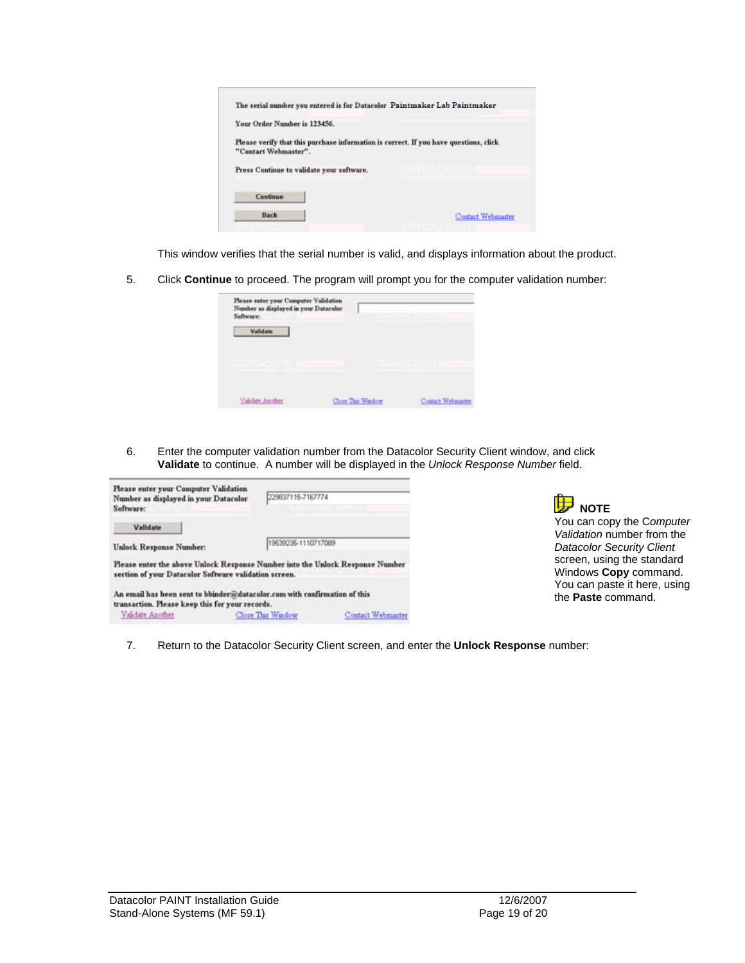| The serial number you entered is for Datacolor Paintmaker Lab Paintmaker                                      |                      |
|---------------------------------------------------------------------------------------------------------------|----------------------|
| Your Order Number is 123456.                                                                                  |                      |
| Please verify that this purchase information is correct. If you have questions, click<br>"Contact Webmaster". |                      |
| Press Continue to validate your software.                                                                     | a la tía local a tra |
| Continue                                                                                                      |                      |
| Back                                                                                                          | Contact Webmaster    |
|                                                                                                               |                      |

This window verifies that the serial number is valid, and displays information about the product.

5. Click **Continue** to proceed. The program will prompt you for the computer validation number:

| Please enter your Computer Validation.<br>Number as displayed in your Datacolor<br>Software: | <b>CARL TELEVISION</b> |                          |
|----------------------------------------------------------------------------------------------|------------------------|--------------------------|
| Validate                                                                                     |                        |                          |
| <b>RELEASING</b>                                                                             |                        |                          |
| Validate Another                                                                             | Close The Wadow        | <b>Contact Webmaster</b> |

6. Enter the computer validation number from the Datacolor Security Client window, and click **Validate** to continue. A number will be displayed in the *Unlock Response Number* field.

| Please enter your Computer Validation<br>Number as displayed in your Datacolor<br>Software:                                            | 229837115-7167774   |                   |
|----------------------------------------------------------------------------------------------------------------------------------------|---------------------|-------------------|
| Validate                                                                                                                               |                     |                   |
| <b>Unlock Response Number:</b>                                                                                                         | 19539235-1110717089 |                   |
| Please enter the above Unlock Response Number into the Unlock Response Number<br>section of your Datacolor Software validation screen. |                     |                   |
| An email has been sent to bhinder@datacolor.com with confirmation of this                                                              |                     |                   |
| transaction. Please keep this for your records.                                                                                        |                     |                   |
| Validate Another                                                                                                                       | Close This Window   | Contact Webmarter |



7. Return to the Datacolor Security Client screen, and enter the **Unlock Response** number: